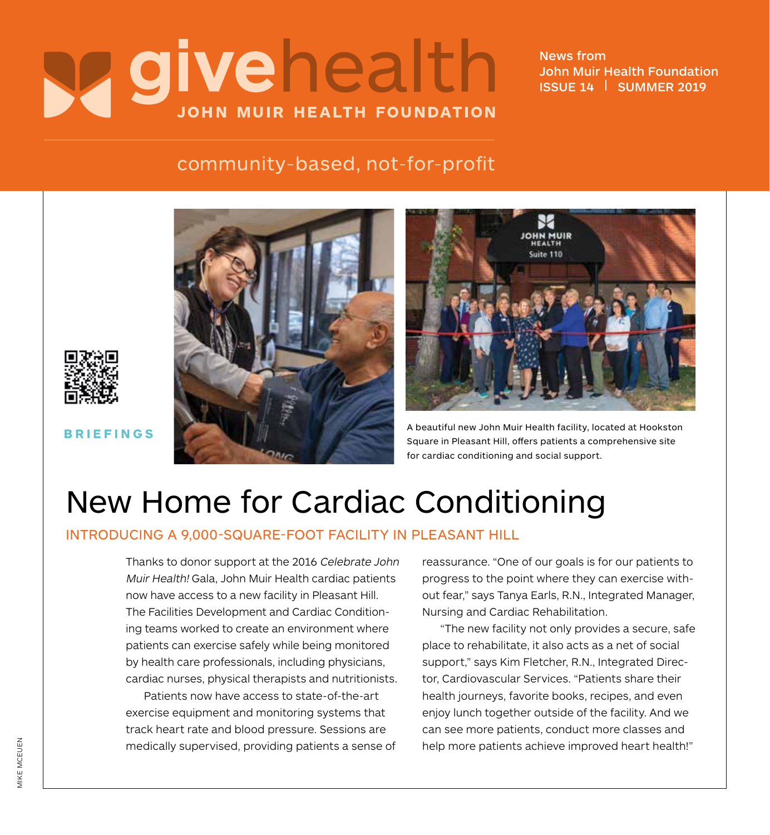# Vgivehealth **JOHN MUIR HEALTH FOUNDATION**

News from John Muir Health Foundation ISSUE 14 | SUMMER 2019

## community-based, not-for-profit







**BRIEFINGS** A beautiful new John Muir Health facility, located at Hookston Square in Pleasant Hill, offers patients a comprehensive site for cardiac conditioning and social support.

## New Home for Cardiac Conditioning

### INTRODUCING A 9,000-SQUARE-FOOT FACILITY IN PLEASANT HILL

Thanks to donor support at the 2016 Celebrate John Muir Health! Gala, John Muir Health cardiac patients now have access to a new facility in Pleasant Hill. The Facilities Development and Cardiac Conditioning teams worked to create an environment where patients can exercise safely while being monitored by health care professionals, including physicians, cardiac nurses, physical therapists and nutritionists.

Patients now have access to state-of-the-art exercise equipment and monitoring systems that track heart rate and blood pressure. Sessions are medically supervised, providing patients a sense of reassurance. "One of our goals is for our patients to progress to the point where they can exercise without fear," says Tanya Earls, R.N., Integrated Manager, Nursing and Cardiac Rehabilitation.

"The new facility not only provides a secure, safe place to rehabilitate, it also acts as a net of social support," says Kim Fletcher, R.N., Integrated Director, Cardiovascular Services. "Patients share their health journeys, favorite books, recipes, and even enjoy lunch together outside of the facility. And we can see more patients, conduct more classes and help more patients achieve improved heart health!"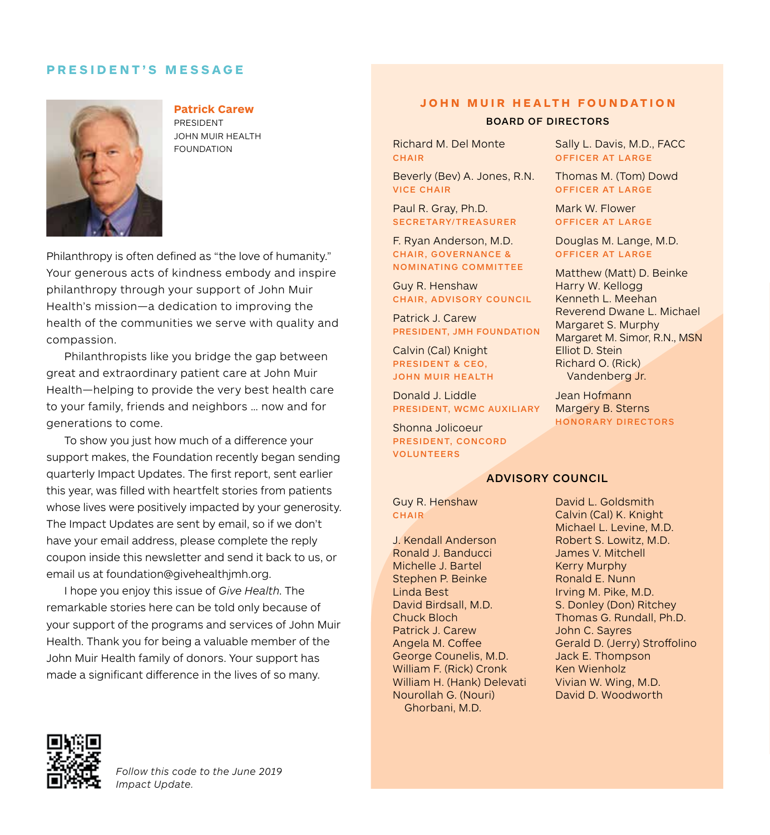### **PRESIDENT'S MESSAGE**



#### **Patrick Carew**

PRESIDENT JOHN MUIR HEALTH

Philanthropy is often defined as "the love of humanity." Your generous acts of kindness embody and inspire philanthropy through your support of John Muir Health's mission—a dedication to improving the health of the communities we serve with quality and compassion.

Philanthropists like you bridge the gap between great and extraordinary patient care at John Muir Health—helping to provide the very best health care to your family, friends and neighbors … now and for generations to come.

To show you just how much of a difference your support makes, the Foundation recently began sending quarterly Impact Updates. The first report, sent earlier this year, was filled with heartfelt stories from patients whose lives were positively impacted by your generosity. The Impact Updates are sent by email, so if we don't have your email address, please complete the reply coupon inside this newsletter and send it back to us, or email us at foundation@givehealthjmh.org.

I hope you enjoy this issue of *Give Health*. The remarkable stories here can be told only because of your support of the programs and services of John Muir Health. Thank you for being a valuable member of the John Muir Health family of donors. Your support has made a significant difference in the lives of so many.

#### **JOHN MUIR HEALTH FOUNDATION**

#### BOARD OF DIRECTORS

FOUNDATION RICHARD RICHARD RICHARD RICHARD RICHARD RICHARD RICHARD RICHARD RICHARD RICHARD RICHARD RICHARD RICHARD RICHARD RICHARD RICHARD RICHARD RICHARD RICHARD RICHARD RICHARD RICHARD RICHARD RICHARD RICHARD RICHARD RIC CHAIR

> Beverly (Bev) A. Jones, R.N. VICE CHAIR

Paul R. Gray, Ph.D. SECRETARY/TREASURER

F. Ryan Anderson, M.D. CHAIR, GOVERNANCE & NOMINATING COMMITTEE

Guy R. Henshaw CHAIR, ADVISORY COUNCIL

Patrick J. Carew PRESIDENT, JMH FOUNDATION

Calvin (Cal) Knight PRESIDENT & CEO, JOHN MUIR HEALTH

Donald J. Liddle PRESIDENT, WCMC AUXILIARY

Shonna Jolicoeur PRESIDENT, CONCORD VOLUNTEERS

Sally L. Davis, M.D., FACC OFFICER AT LARGE

Thomas M. (Tom) Dowd OFFICER AT LARGE

Mark W. Flower OFFICER AT LARGE

Douglas M. Lange, M.D. OFFICER AT LARGE

Matthew (Matt) D. Beinke Harry W. Kellogg Kenneth L. Meehan Reverend Dwane L. Michael Margaret S. Murphy Margaret M. Simor, R.N., MSN Elliot D. Stein Richard O. (Rick) Vandenberg Jr.

Jean Hofmann Margery B. Sterns HONORARY DIRECTORS

#### ADVISORY COUNCIL

Guy R. Henshaw **CHAIR** 

J. Kendall Anderson Ronald J. Banducci Michelle J. Bartel Stephen P. Beinke Linda Best David Birdsall, M.D. Chuck Bloch Patrick J. Carew Angela M. Coffee George Counelis, M.D. William F. (Rick) Cronk William H. (Hank) Delevati Nourollah G. (Nouri) Ghorbani, M.D.

David L. Goldsmith Calvin (Cal) K. Knight Michael L. Levine, M.D. Robert S. Lowitz, M.D. James V. Mitchell Kerry Murphy Ronald E. Nunn Irving M. Pike, M.D. S. Donley (Don) Ritchey Thomas G. Rundall, Ph.D. John C. Sayres Gerald D. (Jerry) Stroffolino Jack E. Thompson Ken Wienholz Vivian W. Wing, M.D. David D. Woodworth

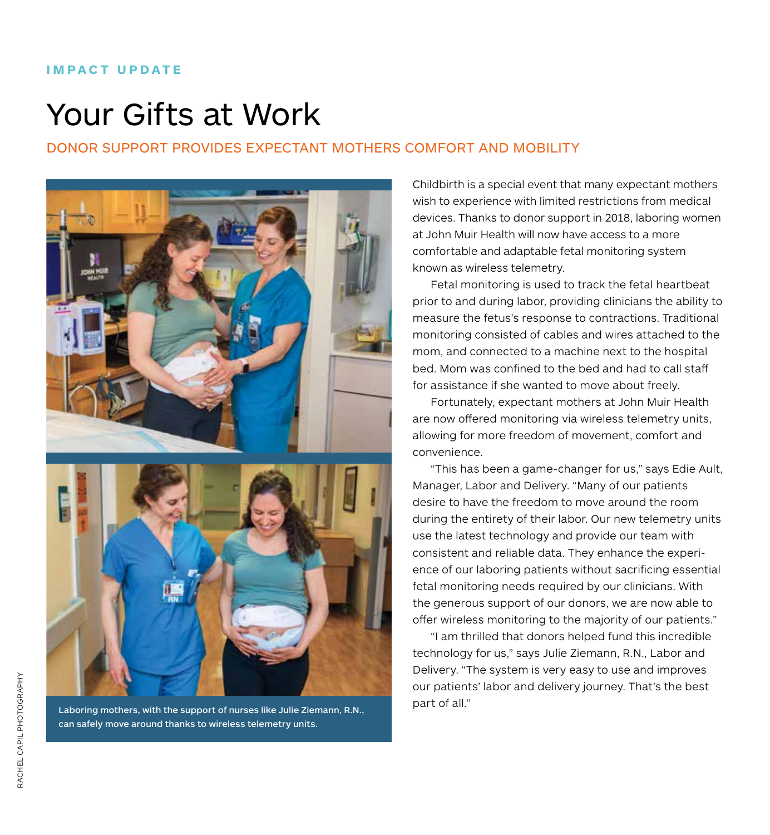#### **IMPACT UPDATE**

## Your Gifts at Work

## DONOR SUPPORT PROVIDES EXPECTANT MOTHERS COMFORT AND MOBILITY



Laboring mothers, with the support of nurses like Julie Ziemann, R.N., can safely move around thanks to wireless telemetry units.

Childbirth is a special event that many expectant mothers wish to experience with limited restrictions from medical devices. Thanks to donor support in 2018, laboring women at John Muir Health will now have access to a more comfortable and adaptable fetal monitoring system known as wireless telemetry.

Fetal monitoring is used to track the fetal heartbeat prior to and during labor, providing clinicians the ability to measure the fetus's response to contractions. Traditional monitoring consisted of cables and wires attached to the mom, and connected to a machine next to the hospital bed. Mom was confined to the bed and had to call staff for assistance if she wanted to move about freely.

Fortunately, expectant mothers at John Muir Health are now offered monitoring via wireless telemetry units, allowing for more freedom of movement, comfort and convenience.

"This has been a game-changer for us," says Edie Ault, Manager, Labor and Delivery. "Many of our patients desire to have the freedom to move around the room during the entirety of their labor. Our new telemetry units use the latest technology and provide our team with consistent and reliable data. They enhance the experience of our laboring patients without sacrificing essential fetal monitoring needs required by our clinicians. With the generous support of our donors, we are now able to offer wireless monitoring to the majority of our patients."

"I am thrilled that donors helped fund this incredible technology for us," says Julie Ziemann, R.N., Labor and Delivery. "The system is very easy to use and improves our patients' labor and delivery journey. That's the best part of all."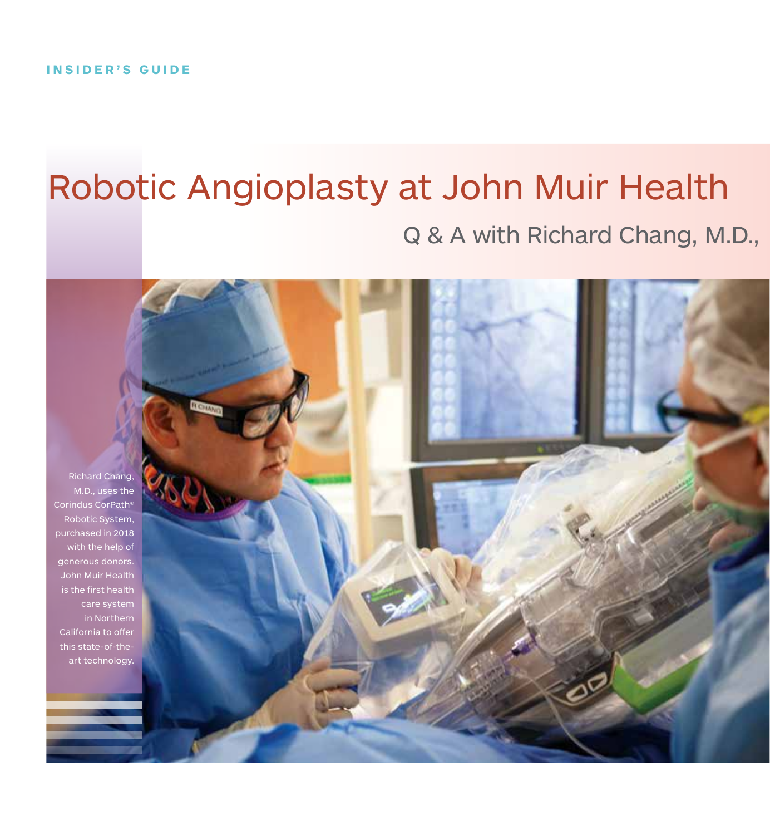## Robotic Angioplasty at John Muir Health Q & A with Richard Chang, M.D.,

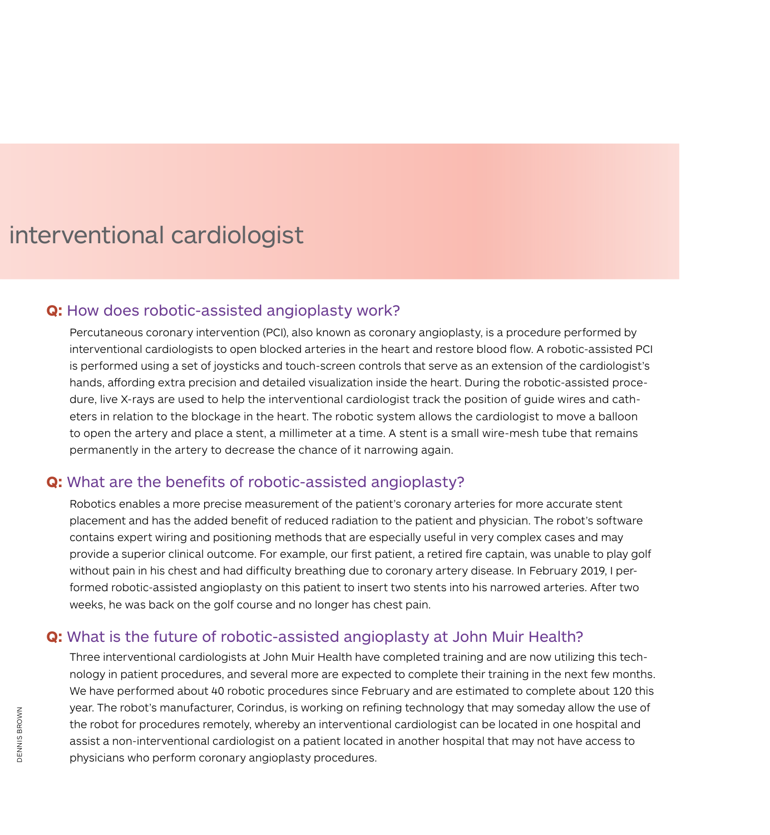## interventional cardiologist

## **Q:** How does robotic-assisted angioplasty work?

Percutaneous coronary intervention (PCI), also known as coronary angioplasty, is a procedure performed by interventional cardiologists to open blocked arteries in the heart and restore blood flow. A robotic-assisted PCI is performed using a set of joysticks and touch-screen controls that serve as an extension of the cardiologist's hands, affording extra precision and detailed visualization inside the heart. During the robotic-assisted procedure, live X-rays are used to help the interventional cardiologist track the position of guide wires and catheters in relation to the blockage in the heart. The robotic system allows the cardiologist to move a balloon to open the artery and place a stent, a millimeter at a time. A stent is a small wire-mesh tube that remains permanently in the artery to decrease the chance of it narrowing again.

## **Q:** What are the benefits of robotic-assisted angioplasty?

Robotics enables a more precise measurement of the patient's coronary arteries for more accurate stent placement and has the added benefit of reduced radiation to the patient and physician. The robot's software contains expert wiring and positioning methods that are especially useful in very complex cases and may provide a superior clinical outcome. For example, our first patient, a retired fire captain, was unable to play golf without pain in his chest and had difficulty breathing due to coronary artery disease. In February 2019, I performed robotic-assisted angioplasty on this patient to insert two stents into his narrowed arteries. After two weeks, he was back on the golf course and no longer has chest pain.

## **Q:** What is the future of robotic-assisted angioplasty at John Muir Health?

Three interventional cardiologists at John Muir Health have completed training and are now utilizing this technology in patient procedures, and several more are expected to complete their training in the next few months. We have performed about 40 robotic procedures since February and are estimated to complete about 120 this year. The robot's manufacturer, Corindus, is working on refining technology that may someday allow the use of the robot for procedures remotely, whereby an interventional cardiologist can be located in one hospital and assist a non-interventional cardiologist on a patient located in another hospital that may not have access to physicians who perform coronary angioplasty procedures.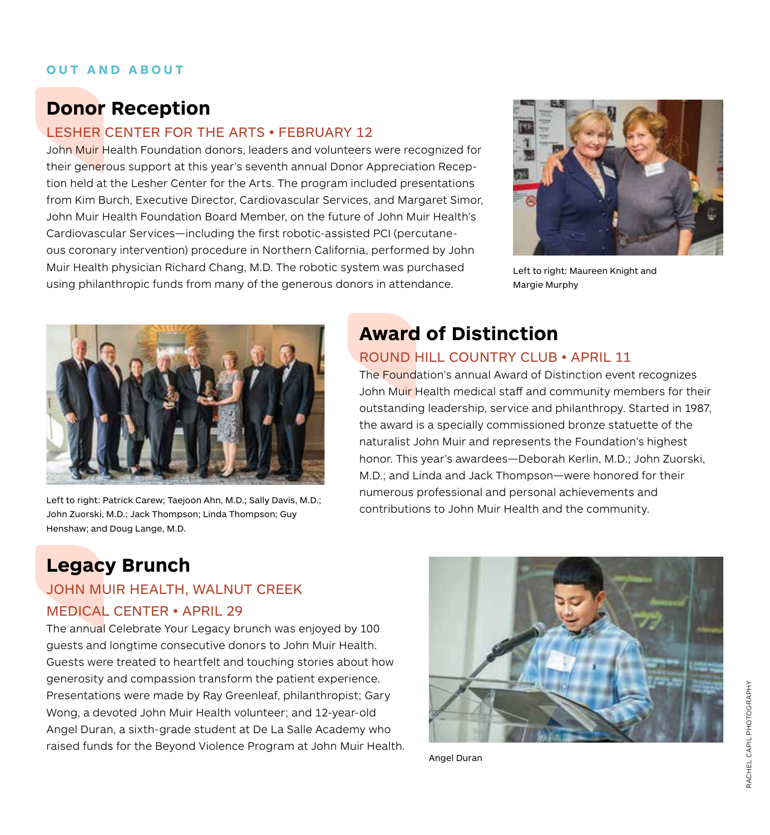## **OUT AND ABOUT**

## **Donor Reception**

## LESHER CENTER FOR THE ARTS • FEBRUARY 12

John Muir Health Foundation donors, leaders and volunteers were recognized for their generous support at this year's seventh annual Donor Appreciation Reception held at the Lesher Center for the Arts. The program included presentations from Kim Burch, Executive Director, Cardiovascular Services, and Margaret Simor, John Muir Health Foundation Board Member, on the future of John Muir Health's Cardiovascular Services—including the first robotic-assisted PCI (percutaneous coronary intervention) procedure in Northern California, performed by John Muir Health physician Richard Chang, M.D. The robotic system was purchased using philanthropic funds from many of the generous donors in attendance.



Left to right: Maureen Knight and Margie Murphy



Left to right: Patrick Carew; Taejoon Ahn, M.D.; Sally Davis, M.D.; John Zuorski, M.D.; Jack Thompson; Linda Thompson; Guy Henshaw; and Doug Lange, M.D.

## **Award of Distinction**

## ROUND HILL COUNTRY CLUB • APRIL 11

The **Found**ation's annual Award of Distinction event recognizes John Muir Health medical staff and community members for their outstanding leadership, service and philanthropy. Started in 1987, the award is a specially commissioned bronze statuette of the naturalist John Muir and represents the Foundation's highest honor. This year's awardees—Deborah Kerlin, M.D.; John Zuorski, M.D.; and Linda and Jack Thompson—were honored for their numerous professional and personal achievements and contributions to John Muir Health and the community.

## **Legacy Brunch**

## JOHN MUIR HEALTH, WALNUT CREEK MEDICAL CENTER • APRIL 29

The annual Celebrate Your Legacy brunch was enjoyed by 100 guests and longtime consecutive donors to John Muir Health. Guests were treated to heartfelt and touching stories about how generosity and compassion transform the patient experience. Presentations were made by Ray Greenleaf, philanthropist; Gary Wong, a devoted John Muir Health volunteer; and 12-year-old Angel Duran, a sixth-grade student at De La Salle Academy who raised funds for the Beyond Violence Program at John Muir Health.



Angel Duran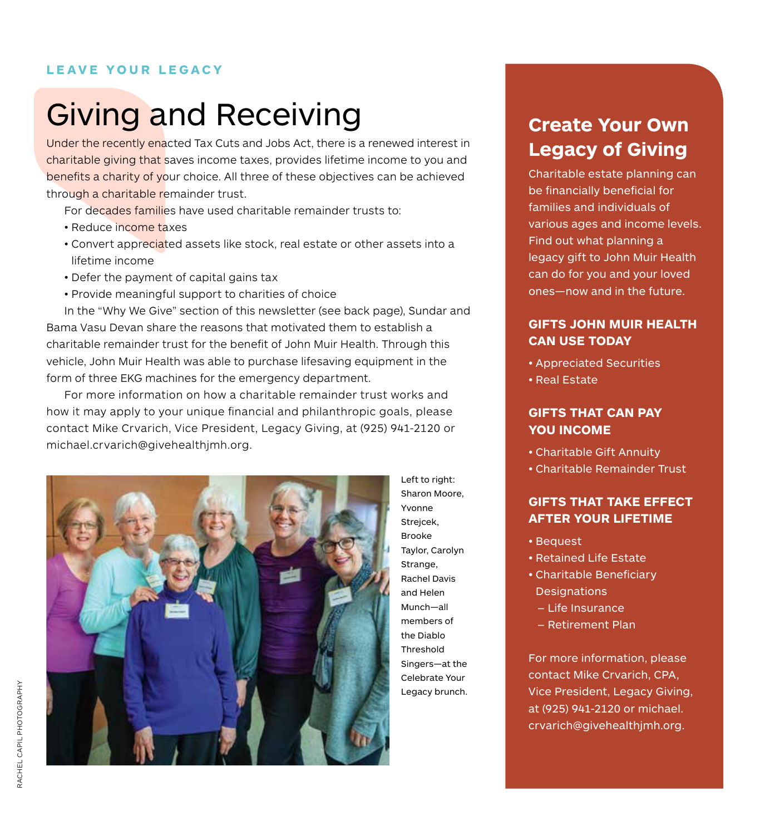## **LEAVE YOUR LEGACY**

## Giving and Receiving

Under the recently enacted Tax Cuts and Jobs Act, there is a renewed interest in charitable giving that saves income taxes, provides lifetime income to you and benefits a charity of your choice. All three of these objectives can be achieved through a charitable remainder trust.

For decades families have used charitable remainder trusts to:

- Reduce income taxes
- Convert appreciated assets like stock, real estate or other assets into a lifetime income
- Defer the payment of capital gains tax
- Provide meaningful support to charities of choice

In the "Why We Give" section of this newsletter (see back page), Sundar and Bama Vasu Devan share the reasons that motivated them to establish a charitable remainder trust for the benefit of John Muir Health. Through this vehicle, John Muir Health was able to purchase lifesaving equipment in the form of three EKG machines for the emergency department.

For more information on how a charitable remainder trust works and how it may apply to your unique financial and philanthropic goals, please contact Mike Crvarich, Vice President, Legacy Giving, at (925) 941-2120 or michael.crvarich@givehealthjmh.org.



Left to right: Sharon Moore, Yvonne Strejcek, Brooke Taylor, Carolyn Strange, Rachel Davis and Helen Munch—all members of the Diablo Threshold Singers—at the Celebrate Your Legacy brunch.

## **Create Your Own Legacy of Giving**

Charitable estate planning can be financially beneficial for families and individuals of various ages and income levels. Find out what planning a legacy gift to John Muir Health can do for you and your loved ones—now and in the future.

### **GIFTS JOHN MUIR HEALTH CAN USE TODAY**

- Appreciated Securities
- Real Estate

### **GIFTS THAT CAN PAY YOU INCOME**

- Charitable Gift Annuity
- Charitable Remainder Trust

## **GIFTS THAT TAKE EFFECT AFTER YOUR LIFETIME**

- Bequest
- Retained Life Estate
- Charitable Beneficiary **Designations** 
	- Life Insurance
	- Retirement Plan

For more information, please contact Mike Crvarich, CPA, Vice President, Legacy Giving, at (925) 941-2120 or michael. crvarich@givehealthjmh.org.